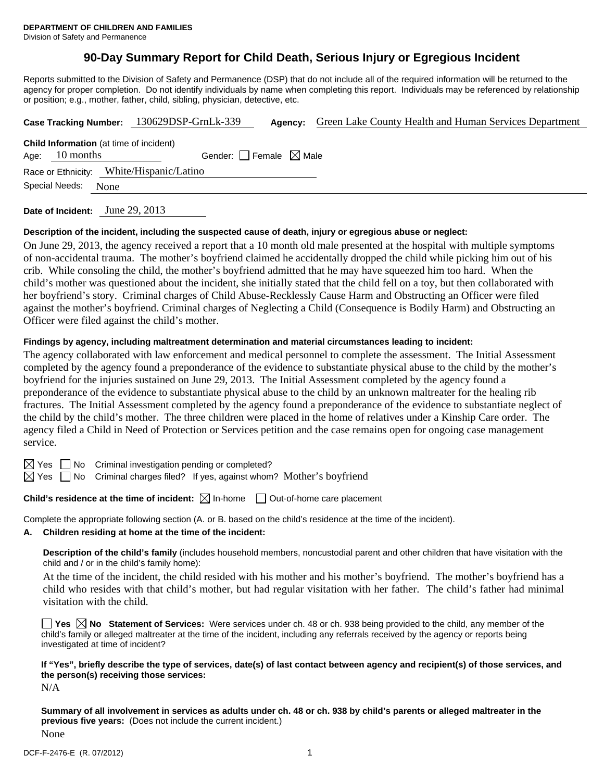# **90-Day Summary Report for Child Death, Serious Injury or Egregious Incident**

Reports submitted to the Division of Safety and Permanence (DSP) that do not include all of the required information will be returned to the agency for proper completion. Do not identify individuals by name when completing this report. Individuals may be referenced by relationship or position; e.g., mother, father, child, sibling, physician, detective, etc.

|                                                                                                       |                |      | Case Tracking Number: 130629DSP-GrnLk-339 |  | Agency: | Green Lake County Health and Human Services Department |  |  |  |  |
|-------------------------------------------------------------------------------------------------------|----------------|------|-------------------------------------------|--|---------|--------------------------------------------------------|--|--|--|--|
| <b>Child Information</b> (at time of incident)<br>Gender: Female $\boxtimes$ Male<br>Age: $10$ months |                |      |                                           |  |         |                                                        |  |  |  |  |
| Race or Ethnicity: White/Hispanic/Latino                                                              |                |      |                                           |  |         |                                                        |  |  |  |  |
|                                                                                                       | Special Needs: | None |                                           |  |         |                                                        |  |  |  |  |
|                                                                                                       |                |      |                                           |  |         |                                                        |  |  |  |  |

**Date of Incident:** June 29, 2013

### **Description of the incident, including the suspected cause of death, injury or egregious abuse or neglect:**

On June 29, 2013, the agency received a report that a 10 month old male presented at the hospital with multiple symptoms of non-accidental trauma. The mother's boyfriend claimed he accidentally dropped the child while picking him out of his crib. While consoling the child, the mother's boyfriend admitted that he may have squeezed him too hard. When the child's mother was questioned about the incident, she initially stated that the child fell on a toy, but then collaborated with her boyfriend's story. Criminal charges of Child Abuse-Recklessly Cause Harm and Obstructing an Officer were filed against the mother's boyfriend. Criminal charges of Neglecting a Child (Consequence is Bodily Harm) and Obstructing an Officer were filed against the child's mother.

### **Findings by agency, including maltreatment determination and material circumstances leading to incident:**

The agency collaborated with law enforcement and medical personnel to complete the assessment. The Initial Assessment completed by the agency found a preponderance of the evidence to substantiate physical abuse to the child by the mother's boyfriend for the injuries sustained on June 29, 2013. The Initial Assessment completed by the agency found a preponderance of the evidence to substantiate physical abuse to the child by an unknown maltreater for the healing rib fractures. The Initial Assessment completed by the agency found a preponderance of the evidence to substantiate neglect of the child by the child's mother. The three children were placed in the home of relatives under a Kinship Care order. The agency filed a Child in Need of Protection or Services petition and the case remains open for ongoing case management service.

 $\boxtimes$  Yes  $\Box$  No Criminal investigation pending or completed?

 $\boxtimes$  Yes  $\Box$  No Criminal charges filed? If yes, against whom? Mother's boyfriend

**Child's residence at the time of incident:** ⊠ In-home □ Out-of-home care placement

Complete the appropriate following section (A. or B. based on the child's residence at the time of the incident).

### **A. Children residing at home at the time of the incident:**

**Description of the child's family** (includes household members, noncustodial parent and other children that have visitation with the child and / or in the child's family home):

 At the time of the incident, the child resided with his mother and his mother's boyfriend. The mother's boyfriend has a child who resides with that child's mother, but had regular visitation with her father. The child's father had minimal visitation with the child.

**Yes No Statement of Services:** Were services under ch. 48 or ch. 938 being provided to the child, any member of the child's family or alleged maltreater at the time of the incident, including any referrals received by the agency or reports being investigated at time of incident?

**If "Yes", briefly describe the type of services, date(s) of last contact between agency and recipient(s) of those services, and the person(s) receiving those services:** 

N/A

**Summary of all involvement in services as adults under ch. 48 or ch. 938 by child's parents or alleged maltreater in the previous five years:** (Does not include the current incident.) None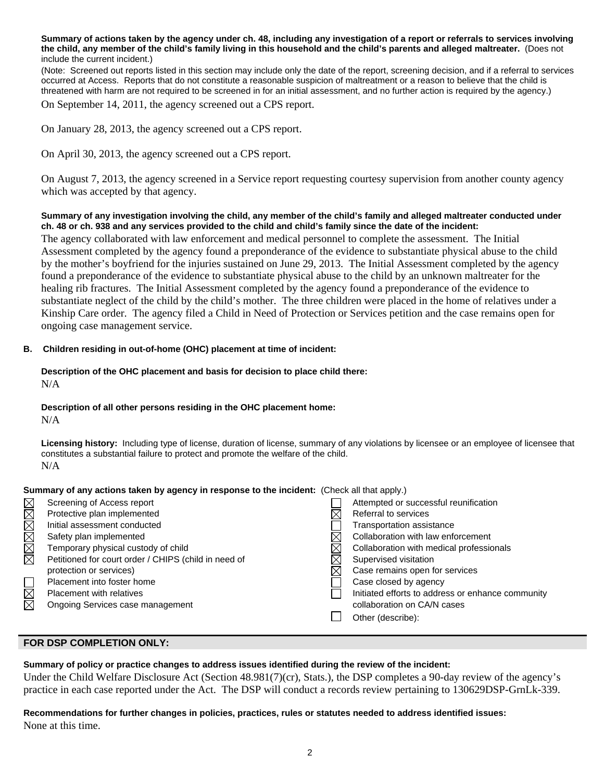**Summary of actions taken by the agency under ch. 48, including any investigation of a report or referrals to services involving the child, any member of the child's family living in this household and the child's parents and alleged maltreater.** (Does not include the current incident.)

(Note: Screened out reports listed in this section may include only the date of the report, screening decision, and if a referral to services occurred at Access. Reports that do not constitute a reasonable suspicion of maltreatment or a reason to believe that the child is threatened with harm are not required to be screened in for an initial assessment, and no further action is required by the agency.)

On September 14, 2011, the agency screened out a CPS report.

On January 28, 2013, the agency screened out a CPS report.

On April 30, 2013, the agency screened out a CPS report.

On August 7, 2013, the agency screened in a Service report requesting courtesy supervision from another county agency which was accepted by that agency.

### **Summary of any investigation involving the child, any member of the child's family and alleged maltreater conducted under ch. 48 or ch. 938 and any services provided to the child and child's family since the date of the incident:**

The agency collaborated with law enforcement and medical personnel to complete the assessment. The Initial Assessment completed by the agency found a preponderance of the evidence to substantiate physical abuse to the child by the mother's boyfriend for the injuries sustained on June 29, 2013. The Initial Assessment completed by the agency found a preponderance of the evidence to substantiate physical abuse to the child by an unknown maltreater for the healing rib fractures. The Initial Assessment completed by the agency found a preponderance of the evidence to substantiate neglect of the child by the child's mother. The three children were placed in the home of relatives under a Kinship Care order. The agency filed a Child in Need of Protection or Services petition and the case remains open for ongoing case management service.

### **B. Children residing in out-of-home (OHC) placement at time of incident:**

### **Description of the OHC placement and basis for decision to place child there:** N/A

### **Description of all other persons residing in the OHC placement home:**

N/A

**Licensing history:** Including type of license, duration of license, summary of any violations by licensee or an employee of licensee that constitutes a substantial failure to protect and promote the welfare of the child. N/A

### **Summary of any actions taken by agency in response to the incident:** (Check all that apply.)

|               | Screening of Access report                           |  | Attempted or successful reunification             |  |  |  |  |  |
|---------------|------------------------------------------------------|--|---------------------------------------------------|--|--|--|--|--|
| <u>xmande</u> | Protective plan implemented                          |  | Referral to services                              |  |  |  |  |  |
|               | Initial assessment conducted                         |  | Transportation assistance                         |  |  |  |  |  |
|               | Safety plan implemented                              |  | Collaboration with law enforcement                |  |  |  |  |  |
|               | Temporary physical custody of child                  |  | Collaboration with medical professionals          |  |  |  |  |  |
|               | Petitioned for court order / CHIPS (child in need of |  | Supervised visitation                             |  |  |  |  |  |
|               | protection or services)                              |  | Case remains open for services                    |  |  |  |  |  |
|               | Placement into foster home                           |  | Case closed by agency                             |  |  |  |  |  |
| $\boxtimes$   | <b>Placement with relatives</b>                      |  | Initiated efforts to address or enhance community |  |  |  |  |  |
| 反             | Ongoing Services case management                     |  | collaboration on CA/N cases                       |  |  |  |  |  |
|               |                                                      |  | Other (describe):                                 |  |  |  |  |  |
|               |                                                      |  |                                                   |  |  |  |  |  |

### **FOR DSP COMPLETION ONLY:**

**Summary of policy or practice changes to address issues identified during the review of the incident:** 

Under the Child Welfare Disclosure Act (Section 48.981(7)(cr), Stats.), the DSP completes a 90-day review of the agency's practice in each case reported under the Act. The DSP will conduct a records review pertaining to 130629DSP-GrnLk-339.

## **Recommendations for further changes in policies, practices, rules or statutes needed to address identified issues:** None at this time.